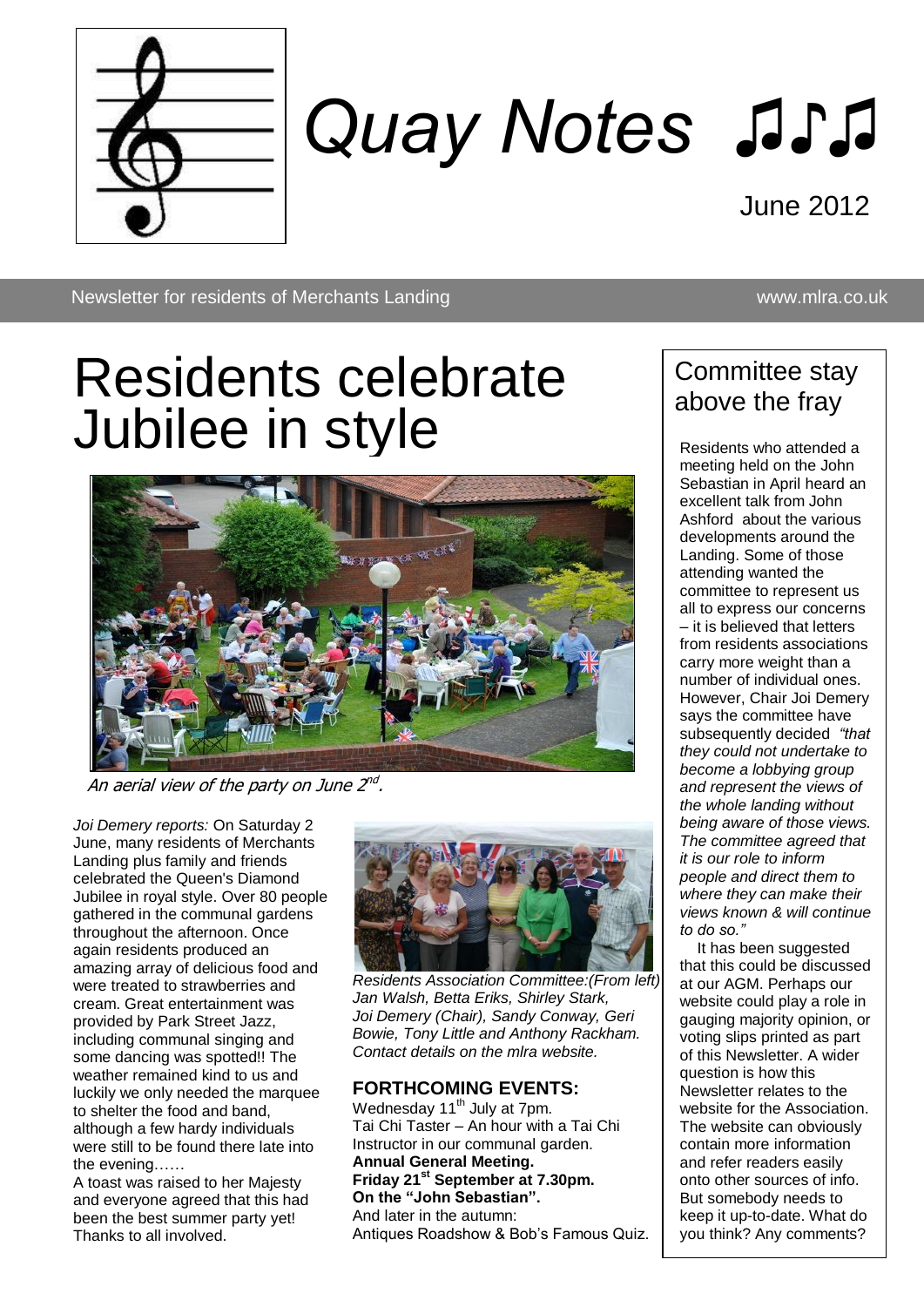

# *Quay Notes ♫♪♫*

June 2012

Newsletter for residents of Merchants Landing www.mlra.co.uk

## Residents celebrate Jubilee in style



An aerial view of the party on June 2<sup>nd</sup>.

*Joi Demery reports:* On Saturday 2 June, many residents of Merchants Landing plus family and friends celebrated the Queen's Diamond Jubilee in royal style. Over 80 people gathered in the communal gardens throughout the afternoon. Once again residents produced an amazing array of delicious food and were treated to strawberries and cream. Great entertainment was provided by Park Street Jazz, including communal singing and some dancing was spotted!! The weather remained kind to us and luckily we only needed the marquee to shelter the food and band, although a few hardy individuals were still to be found there late into the evening……

A toast was raised to her Majesty and everyone agreed that this had been the best summer party yet! Thanks to all involved.



*Residents Association Committee:(From left) Jan Walsh, Betta Eriks, Shirley Stark, Joi Demery (Chair), Sandy Conway, Geri Bowie, Tony Little and Anthony Rackham. Contact details on the mlra website.*

#### **FORTHCOMING EVENTS:**

Wednesday 11<sup>th</sup> July at 7pm. Tai Chi Taster – An hour with a Tai Chi Instructor in our communal garden. **Annual General Meeting. Friday 21st September at 7.30pm. On the "John Sebastian".** And later in the autumn: Antiques Roadshow & Bob's Famous Quiz.

#### Committee stay above the fray

Residents who attended a meeting held on the John Sebastian in April heard an excellent talk from John Ashford about the various developments around the Landing. Some of those attending wanted the committee to represent us all to express our concerns – it is believed that letters from residents associations carry more weight than a number of individual ones. However, Chair Joi Demery says the committee have subsequently decided *"that they could not undertake to become a lobbying group and represent the views of the whole landing without being aware of those views. The committee agreed that it is our role to inform people and direct them to where they can make their views known & will continue to do so."*

 It has been suggested that this could be discussed at our AGM. Perhaps our website could play a role in gauging majority opinion, or voting slips printed as part of this Newsletter. A wider question is how this Newsletter relates to the website for the Association. The website can obviously contain more information and refer readers easily onto other sources of info. But somebody needs to keep it up-to-date. What do you think? Any comments?